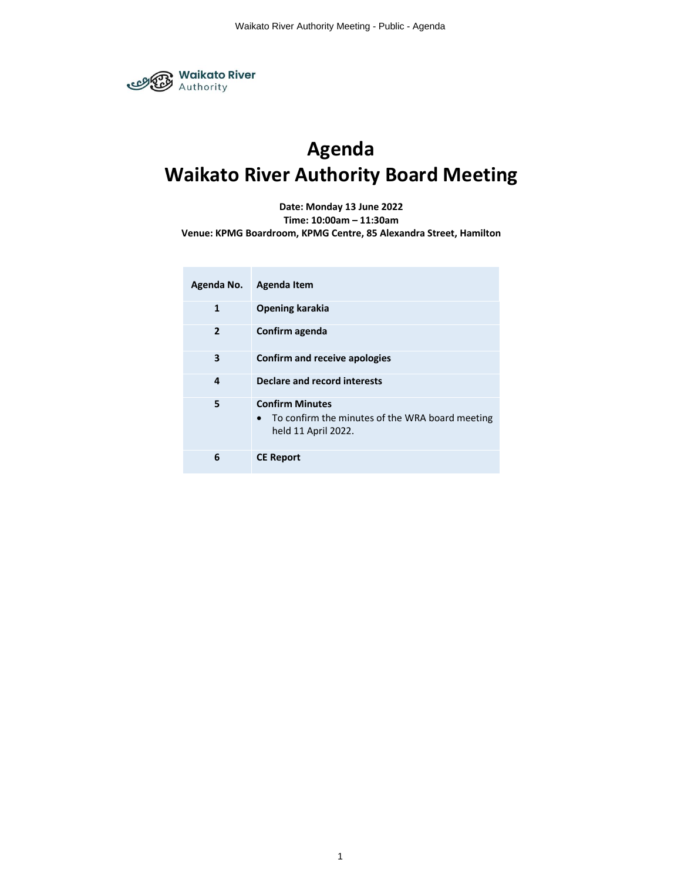

# **Agenda Waikato River Authority Board Meeting**

**Date: Monday 13 June 2022**

**Time: 10:00am – 11:30am**

**Venue: KPMG Boardroom, KPMG Centre, 85 Alexandra Street, Hamilton**

| Agenda No.     | Agenda Item                                                                                      |
|----------------|--------------------------------------------------------------------------------------------------|
| $\mathbf{1}$   | <b>Opening karakia</b>                                                                           |
| $\overline{2}$ | Confirm agenda                                                                                   |
| 3              | Confirm and receive apologies                                                                    |
| 4              | Declare and record interests                                                                     |
| 5              | <b>Confirm Minutes</b><br>To confirm the minutes of the WRA board meeting<br>held 11 April 2022. |
| 6              | <b>CE Report</b>                                                                                 |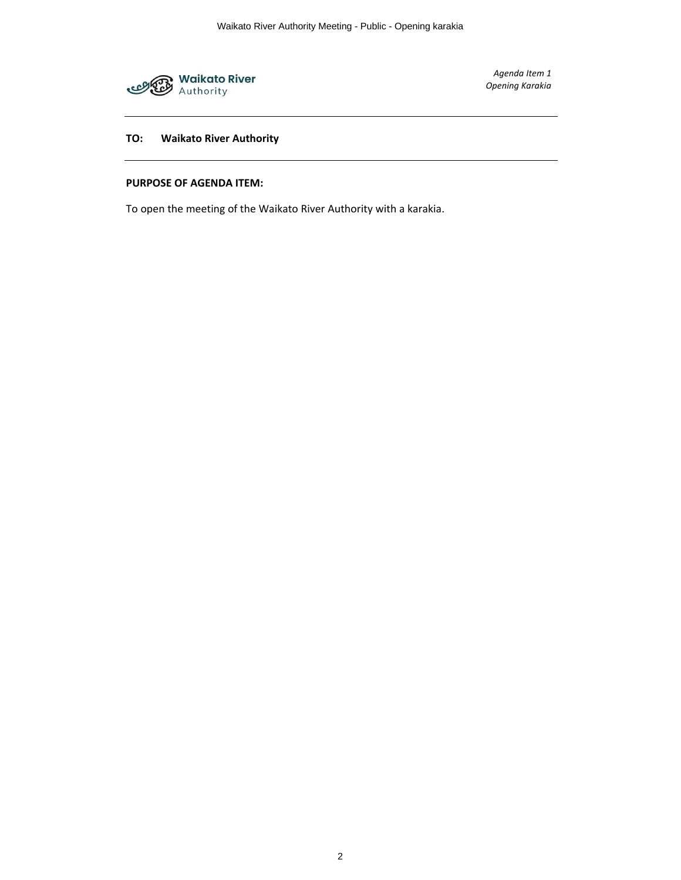

*Agenda Item 1 Opening Karakia*

# **TO: Waikato River Authority**

# **PURPOSE OF AGENDA ITEM:**

To open the meeting of the Waikato River Authority with a karakia.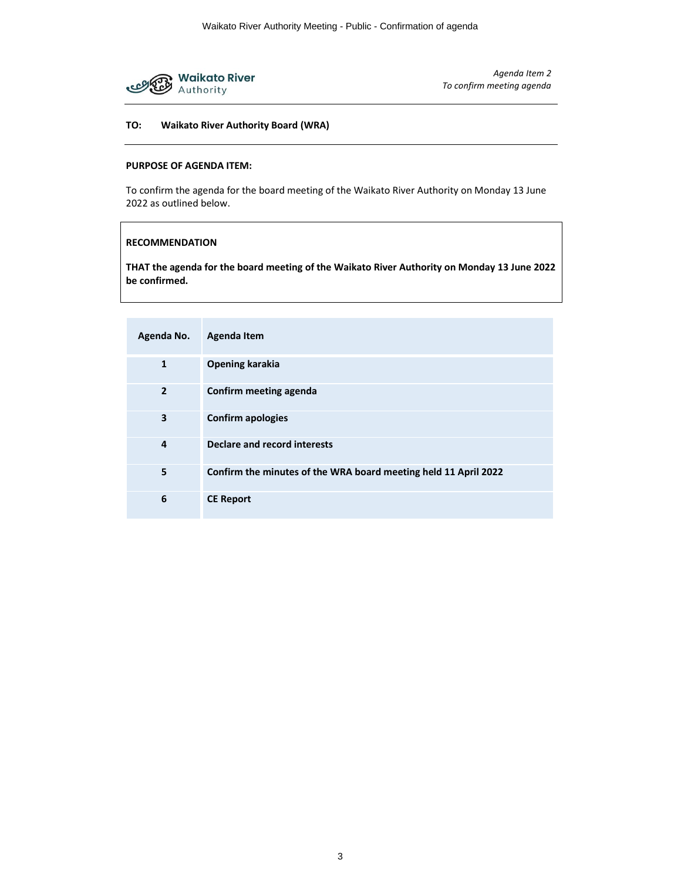

*Agenda Item 2 To confirm meeting agenda*

# **TO: Waikato River Authority Board (WRA)**

# **PURPOSE OF AGENDA ITEM:**

To confirm the agenda for the board meeting of the Waikato River Authority on Monday 13 June 2022 as outlined below.

#### **RECOMMENDATION**

**THAT the agenda for the board meeting of the Waikato River Authority on Monday 13 June 2022 be confirmed.** 

| Agenda No.     | Agenda Item                                                     |
|----------------|-----------------------------------------------------------------|
| $\mathbf{1}$   | <b>Opening karakia</b>                                          |
| $\overline{2}$ | Confirm meeting agenda                                          |
| 3              | <b>Confirm apologies</b>                                        |
| 4              | Declare and record interests                                    |
| 5              | Confirm the minutes of the WRA board meeting held 11 April 2022 |
| 6              | <b>CE Report</b>                                                |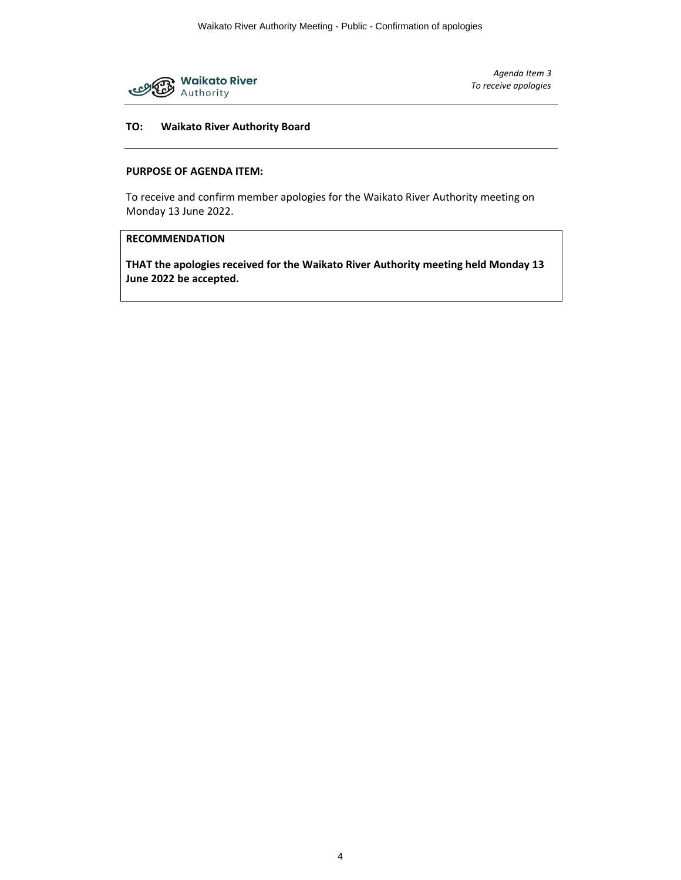

*Agenda Item 3 To receive apologies*

# **TO: Waikato River Authority Board**

# **PURPOSE OF AGENDA ITEM:**

To receive and confirm member apologies for the Waikato River Authority meeting on Monday 13 June 2022.

# **RECOMMENDATION**

**THAT the apologies received for the Waikato River Authority meeting held Monday 13 June 2022 be accepted.**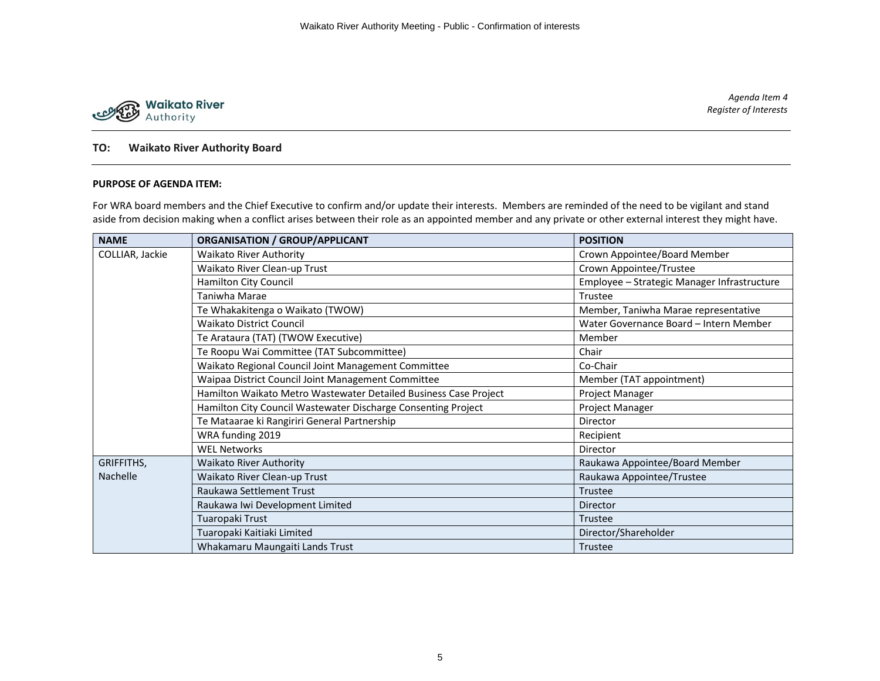

*Agenda Item 4 Register of Interests*

# **TO: Waikato River Authority Board**

# **PURPOSE OF AGENDA ITEM:**

For WRA board members and the Chief Executive to confirm and/or update their interests. Members are reminded of the need to be vigilant and stand aside from decision making when a conflict arises between their role as an appointed member and any private or other external interest they might have.

| <b>NAME</b>     | <b>ORGANISATION / GROUP/APPLICANT</b>                            | <b>POSITION</b>                             |  |
|-----------------|------------------------------------------------------------------|---------------------------------------------|--|
| COLLIAR, Jackie | <b>Waikato River Authority</b>                                   | Crown Appointee/Board Member                |  |
|                 | Waikato River Clean-up Trust                                     | Crown Appointee/Trustee                     |  |
|                 | Hamilton City Council                                            | Employee - Strategic Manager Infrastructure |  |
|                 | Taniwha Marae                                                    | Trustee                                     |  |
|                 | Te Whakakitenga o Waikato (TWOW)                                 | Member, Taniwha Marae representative        |  |
|                 | <b>Waikato District Council</b>                                  | Water Governance Board - Intern Member      |  |
|                 | Te Arataura (TAT) (TWOW Executive)                               | Member                                      |  |
|                 | Te Roopu Wai Committee (TAT Subcommittee)                        | Chair                                       |  |
|                 | Waikato Regional Council Joint Management Committee              | Co-Chair                                    |  |
|                 | Waipaa District Council Joint Management Committee               | Member (TAT appointment)                    |  |
|                 | Hamilton Waikato Metro Wastewater Detailed Business Case Project | Project Manager                             |  |
|                 | Hamilton City Council Wastewater Discharge Consenting Project    | Project Manager                             |  |
|                 | Te Mataarae ki Rangiriri General Partnership                     | Director                                    |  |
|                 | WRA funding 2019                                                 | Recipient                                   |  |
|                 | <b>WEL Networks</b>                                              | Director                                    |  |
| GRIFFITHS,      | <b>Waikato River Authority</b>                                   | Raukawa Appointee/Board Member              |  |
| <b>Nachelle</b> | Waikato River Clean-up Trust                                     | Raukawa Appointee/Trustee                   |  |
|                 | Raukawa Settlement Trust                                         | Trustee                                     |  |
|                 | Raukawa Iwi Development Limited                                  | Director                                    |  |
|                 | Tuaropaki Trust                                                  | Trustee                                     |  |
|                 | Tuaropaki Kaitiaki Limited                                       | Director/Shareholder                        |  |
|                 | Whakamaru Maungaiti Lands Trust                                  | Trustee                                     |  |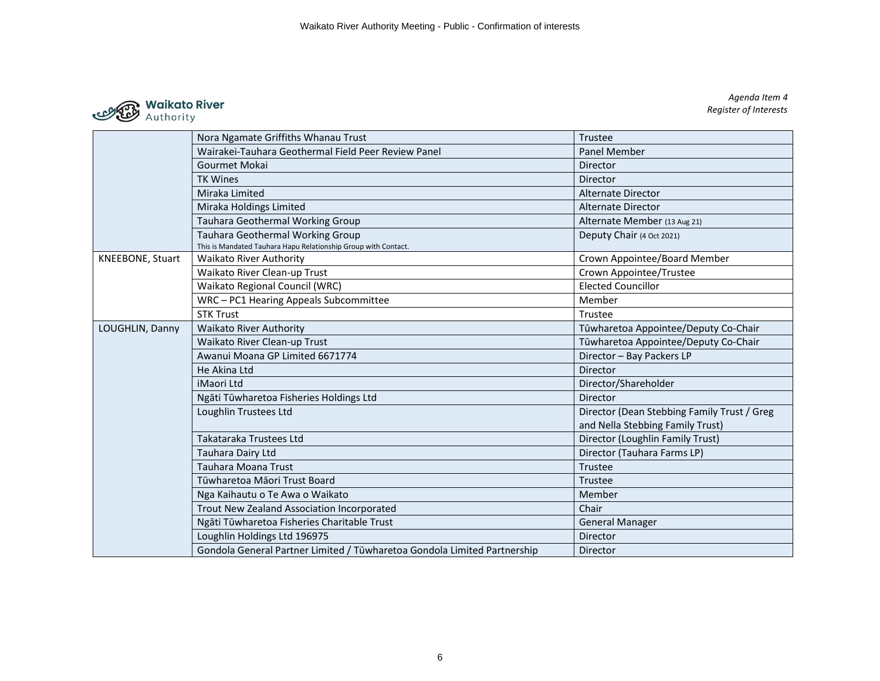

*Agenda Item 4 Register of Interests*

|                  | Nora Ngamate Griffiths Whanau Trust                                                                | Trustee                                     |
|------------------|----------------------------------------------------------------------------------------------------|---------------------------------------------|
|                  | Wairakei-Tauhara Geothermal Field Peer Review Panel                                                | <b>Panel Member</b>                         |
|                  | Gourmet Mokai                                                                                      | <b>Director</b>                             |
|                  | <b>TK Wines</b>                                                                                    | Director                                    |
|                  | Miraka Limited                                                                                     | <b>Alternate Director</b>                   |
|                  | Miraka Holdings Limited                                                                            | Alternate Director                          |
|                  | Tauhara Geothermal Working Group                                                                   | Alternate Member (13 Aug 21)                |
|                  | Tauhara Geothermal Working Group<br>This is Mandated Tauhara Hapu Relationship Group with Contact. | Deputy Chair (4 Oct 2021)                   |
| KNEEBONE, Stuart | <b>Waikato River Authority</b>                                                                     | Crown Appointee/Board Member                |
|                  | Waikato River Clean-up Trust                                                                       | Crown Appointee/Trustee                     |
|                  | Waikato Regional Council (WRC)                                                                     | <b>Elected Councillor</b>                   |
|                  | WRC-PC1 Hearing Appeals Subcommittee                                                               | Member                                      |
|                  | <b>STK Trust</b>                                                                                   | Trustee                                     |
| LOUGHLIN, Danny  | <b>Waikato River Authority</b>                                                                     | Tūwharetoa Appointee/Deputy Co-Chair        |
|                  | Waikato River Clean-up Trust                                                                       | Tūwharetoa Appointee/Deputy Co-Chair        |
|                  | Awanui Moana GP Limited 6671774                                                                    | Director - Bay Packers LP                   |
|                  | He Akina Ltd                                                                                       | <b>Director</b>                             |
|                  | iMaori Ltd                                                                                         | Director/Shareholder                        |
|                  | Ngāti Tūwharetoa Fisheries Holdings Ltd                                                            | Director                                    |
|                  | Loughlin Trustees Ltd                                                                              | Director (Dean Stebbing Family Trust / Greg |
|                  |                                                                                                    | and Nella Stebbing Family Trust)            |
|                  | Takataraka Trustees Ltd                                                                            | Director (Loughlin Family Trust)            |
|                  | Tauhara Dairy Ltd                                                                                  | Director (Tauhara Farms LP)                 |
|                  | Tauhara Moana Trust                                                                                | Trustee                                     |
|                  | Tūwharetoa Māori Trust Board                                                                       | Trustee                                     |
|                  | Nga Kaihautu o Te Awa o Waikato                                                                    | Member                                      |
|                  | Trout New Zealand Association Incorporated                                                         | Chair                                       |
|                  | Ngāti Tūwharetoa Fisheries Charitable Trust                                                        | <b>General Manager</b>                      |
|                  | Loughlin Holdings Ltd 196975                                                                       | <b>Director</b>                             |
|                  | Gondola General Partner Limited / Tūwharetoa Gondola Limited Partnership                           | <b>Director</b>                             |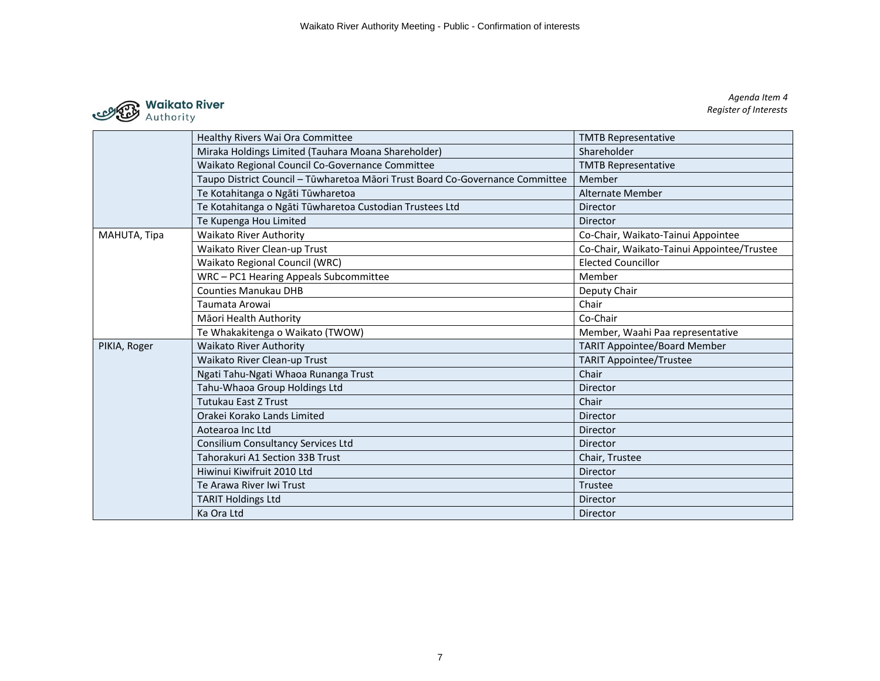

*Agenda Item 4 Register of Interests*

|              | Healthy Rivers Wai Ora Committee                                              | <b>TMTB Representative</b>                 |
|--------------|-------------------------------------------------------------------------------|--------------------------------------------|
|              | Miraka Holdings Limited (Tauhara Moana Shareholder)                           | Shareholder                                |
|              | Waikato Regional Council Co-Governance Committee                              | <b>TMTB Representative</b>                 |
|              | Taupo District Council - Tūwharetoa Māori Trust Board Co-Governance Committee | Member                                     |
|              | Te Kotahitanga o Ngāti Tūwharetoa                                             | <b>Alternate Member</b>                    |
|              | Te Kotahitanga o Ngāti Tūwharetoa Custodian Trustees Ltd                      | Director                                   |
|              | Te Kupenga Hou Limited                                                        | Director                                   |
| MAHUTA, Tipa | <b>Waikato River Authority</b>                                                | Co-Chair, Waikato-Tainui Appointee         |
|              | Waikato River Clean-up Trust                                                  | Co-Chair, Waikato-Tainui Appointee/Trustee |
|              | Waikato Regional Council (WRC)                                                | <b>Elected Councillor</b>                  |
|              | WRC - PC1 Hearing Appeals Subcommittee                                        | Member                                     |
|              | <b>Counties Manukau DHB</b>                                                   | Deputy Chair                               |
|              | Taumata Arowai                                                                | Chair                                      |
|              | Māori Health Authority                                                        | Co-Chair                                   |
|              | Te Whakakitenga o Waikato (TWOW)                                              | Member, Waahi Paa representative           |
| PIKIA, Roger | <b>Waikato River Authority</b>                                                | <b>TARIT Appointee/Board Member</b>        |
|              | Waikato River Clean-up Trust                                                  | <b>TARIT Appointee/Trustee</b>             |
|              | Ngati Tahu-Ngati Whaoa Runanga Trust                                          | Chair                                      |
|              | Tahu-Whaoa Group Holdings Ltd                                                 | Director                                   |
|              | <b>Tutukau East Z Trust</b>                                                   | Chair                                      |
|              | Orakei Korako Lands Limited                                                   | Director                                   |
|              | Aotearoa Inc Ltd                                                              | Director                                   |
|              | <b>Consilium Consultancy Services Ltd</b>                                     | <b>Director</b>                            |
|              | Tahorakuri A1 Section 33B Trust                                               | Chair, Trustee                             |
|              | Hiwinui Kiwifruit 2010 Ltd                                                    | Director                                   |
|              | Te Arawa River Iwi Trust                                                      | Trustee                                    |
|              | <b>TARIT Holdings Ltd</b>                                                     | Director                                   |
|              | Ka Ora Ltd                                                                    | Director                                   |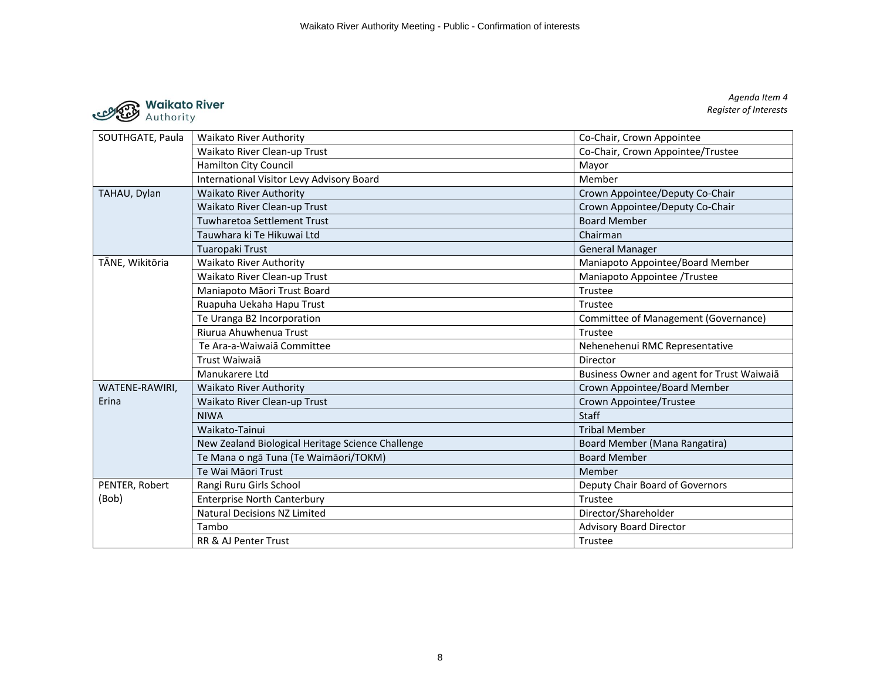

| SOUTHGATE, Paula | <b>Waikato River Authority</b>                    | Co-Chair, Crown Appointee                  |  |
|------------------|---------------------------------------------------|--------------------------------------------|--|
|                  | Waikato River Clean-up Trust                      | Co-Chair, Crown Appointee/Trustee          |  |
|                  | <b>Hamilton City Council</b>                      | Mayor                                      |  |
|                  | International Visitor Levy Advisory Board         | Member                                     |  |
| TAHAU, Dylan     | <b>Waikato River Authority</b>                    | Crown Appointee/Deputy Co-Chair            |  |
|                  | Waikato River Clean-up Trust                      | Crown Appointee/Deputy Co-Chair            |  |
|                  | Tuwharetoa Settlement Trust                       | <b>Board Member</b>                        |  |
|                  | Tauwhara ki Te Hikuwai Ltd                        | Chairman                                   |  |
|                  | Tuaropaki Trust                                   | <b>General Manager</b>                     |  |
| TĀNE, Wikitōria  | Waikato River Authority                           | Maniapoto Appointee/Board Member           |  |
|                  | Waikato River Clean-up Trust                      | Maniapoto Appointee /Trustee               |  |
|                  | Maniapoto Māori Trust Board                       | Trustee                                    |  |
|                  | Ruapuha Uekaha Hapu Trust                         | Trustee                                    |  |
|                  | Te Uranga B2 Incorporation                        | Committee of Management (Governance)       |  |
|                  | Riurua Ahuwhenua Trust                            | Trustee                                    |  |
|                  | Te Ara-a-Waiwaia Committee                        | Nehenehenui RMC Representative             |  |
| Trust Waiwaia    |                                                   | Director                                   |  |
|                  | Manukarere Ltd                                    | Business Owner and agent for Trust Waiwaia |  |
| WATENE-RAWIRI.   | <b>Waikato River Authority</b>                    | Crown Appointee/Board Member               |  |
| Erina            | Waikato River Clean-up Trust                      | Crown Appointee/Trustee                    |  |
|                  | <b>NIWA</b>                                       | <b>Staff</b>                               |  |
|                  | Waikato-Tainui                                    | <b>Tribal Member</b>                       |  |
|                  | New Zealand Biological Heritage Science Challenge | Board Member (Mana Rangatira)              |  |
|                  | Te Mana o ngā Tuna (Te Waimāori/TOKM)             | <b>Board Member</b>                        |  |
|                  | Te Wai Māori Trust                                | Member                                     |  |
| PENTER, Robert   | Rangi Ruru Girls School                           | Deputy Chair Board of Governors            |  |
| (Bob)            | <b>Enterprise North Canterbury</b>                | Trustee                                    |  |
|                  | <b>Natural Decisions NZ Limited</b>               | Director/Shareholder                       |  |
|                  | Tambo                                             | <b>Advisory Board Director</b>             |  |
|                  | <b>RR &amp; AJ Penter Trust</b>                   | Trustee                                    |  |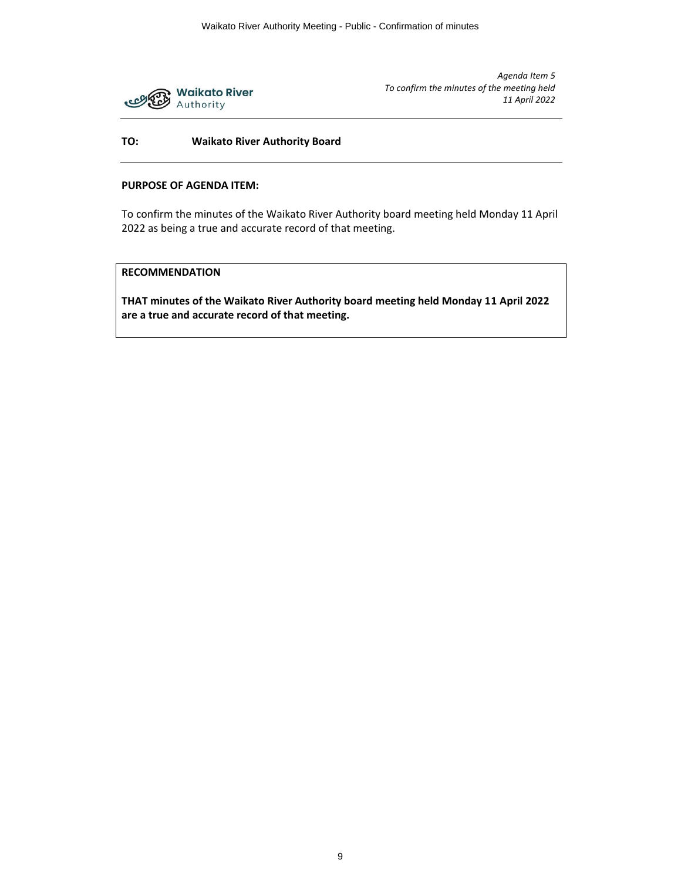

# **TO: Waikato River Authority Board**

## **PURPOSE OF AGENDA ITEM:**

To confirm the minutes of the Waikato River Authority board meeting held Monday 11 April 2022 as being a true and accurate record of that meeting.

# **RECOMMENDATION**

**THAT minutes of the Waikato River Authority board meeting held Monday 11 April 2022 are a true and accurate record of that meeting.**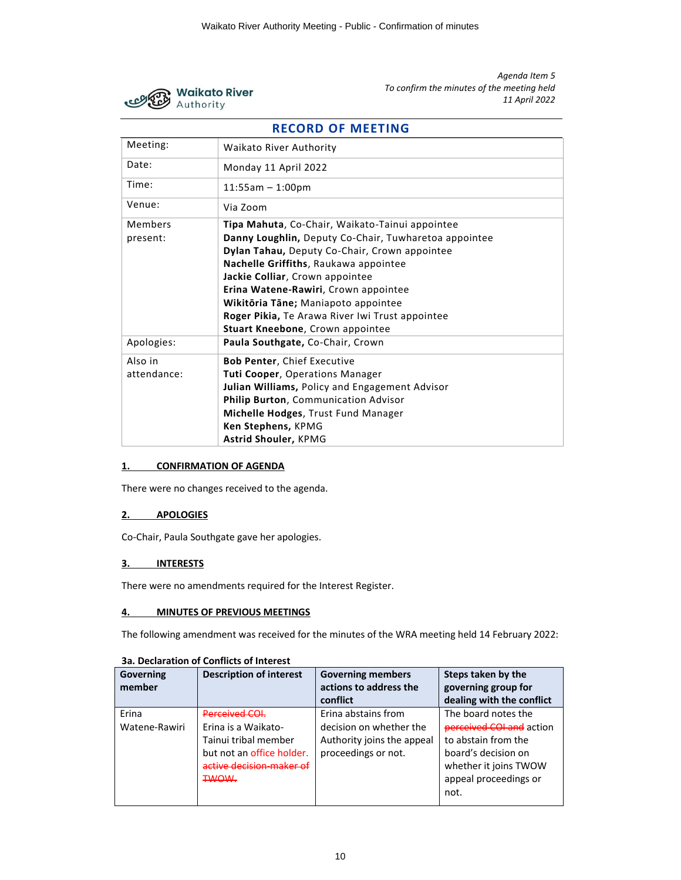

# **RECORD OF MEETING** Meeting: Waikato River Authority Date: Monday 11 April 2022 Time: 11:55am – 1:00pm Venue: Via Zoom Members present: **Tipa Mahuta**, Co-Chair, Waikato-Tainui appointee **Danny Loughlin,** Deputy Co-Chair, Tuwharetoa appointee **Dylan Tahau,** Deputy Co-Chair, Crown appointee **Nachelle Griffiths**, Raukawa appointee **Jackie Colliar**, Crown appointee **Erina Watene-Rawiri**, Crown appointee **Wikitōria Tāne;** Maniapoto appointee **Roger Pikia,** Te Arawa River Iwi Trust appointee **Stuart Kneebone**, Crown appointee Apologies: **Paula Southgate,** Co-Chair, Crown Also in attendance: **Bob Penter**, Chief Executive **Tuti Cooper**, Operations Manager **Julian Williams,** Policy and Engagement Advisor **Philip Burton**, Communication Advisor **Michelle Hodges**, Trust Fund Manager **Ken Stephens,** KPMG **Astrid Shouler,** KPMG

# **1. CONFIRMATION OF AGENDA**

There were no changes received to the agenda.

#### **2. APOLOGIES**

Co-Chair, Paula Southgate gave her apologies.

#### **3. INTERESTS**

There were no amendments required for the Interest Register.

#### **4. MINUTES OF PREVIOUS MEETINGS**

The following amendment was received for the minutes of the WRA meeting held 14 February 2022:

| <b>Governing</b><br>member | <b>Description of interest</b> | <b>Governing members</b><br>actions to address the<br>conflict | Steps taken by the<br>governing group for<br>dealing with the conflict |
|----------------------------|--------------------------------|----------------------------------------------------------------|------------------------------------------------------------------------|
|                            |                                |                                                                |                                                                        |
| Erina                      | Derreived COL                  | Erina abstains from                                            | The board notes the                                                    |
| Watene-Rawiri              | Erina is a Waikato-            | decision on whether the                                        | <b>perceived COI and action</b>                                        |
|                            | Tainui tribal member           | Authority joins the appeal                                     | to abstain from the                                                    |
|                            | but not an office holder.      | proceedings or not.                                            | board's decision on                                                    |
|                            | active decision-maker of       |                                                                | whether it joins TWOW                                                  |
|                            | <b>TWOW.</b>                   |                                                                | appeal proceedings or                                                  |
|                            |                                |                                                                | not.                                                                   |
|                            |                                |                                                                |                                                                        |

# **3a. Declaration of Conflicts of Interest**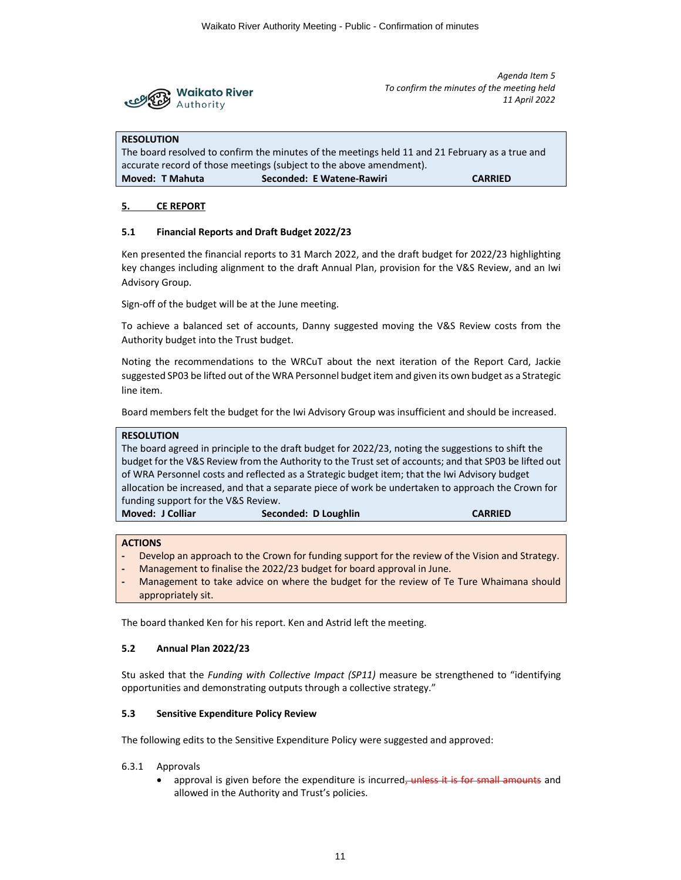

#### **RESOLUTION**

The board resolved to confirm the minutes of the meetings held 11 and 21 February as a true and accurate record of those meetings (subject to the above amendment). **Moved: T Mahuta Seconded: E Watene-Rawiri CARRIED**

# **5. CE REPORT**

# **5.1 Financial Reports and Draft Budget 2022/23**

Ken presented the financial reports to 31 March 2022, and the draft budget for 2022/23 highlighting key changes including alignment to the draft Annual Plan, provision for the V&S Review, and an Iwi Advisory Group.

Sign-off of the budget will be at the June meeting.

To achieve a balanced set of accounts, Danny suggested moving the V&S Review costs from the Authority budget into the Trust budget.

Noting the recommendations to the WRCuT about the next iteration of the Report Card, Jackie suggested SP03 be lifted out of the WRA Personnel budget item and given its own budget as a Strategic line item.

Board members felt the budget for the Iwi Advisory Group was insufficient and should be increased.

**RESOLUTION** The board agreed in principle to the draft budget for 2022/23, noting the suggestions to shift the budget for the V&S Review from the Authority to the Trust set of accounts; and that SP03 be lifted out of WRA Personnel costs and reflected as a Strategic budget item; that the Iwi Advisory budget allocation be increased, and that a separate piece of work be undertaken to approach the Crown for funding support for the V&S Review. **Moved: J Colliar Seconded: D Loughlin CARRIED**

**ACTIONS**

- **-** Develop an approach to the Crown for funding support for the review of the Vision and Strategy.
- **-** Management to finalise the 2022/23 budget for board approval in June.
- **-** Management to take advice on where the budget for the review of Te Ture Whaimana should appropriately sit.

The board thanked Ken for his report. Ken and Astrid left the meeting.

#### **5.2 Annual Plan 2022/23**

Stu asked that the *Funding with Collective Impact (SP11)* measure be strengthened to "identifying opportunities and demonstrating outputs through a collective strategy."

# **5.3 Sensitive Expenditure Policy Review**

The following edits to the Sensitive Expenditure Policy were suggested and approved:

- 6.3.1 Approvals
	- approval is given before the expenditure is incurred, unless it is for small amounts and allowed in the Authority and Trust's policies.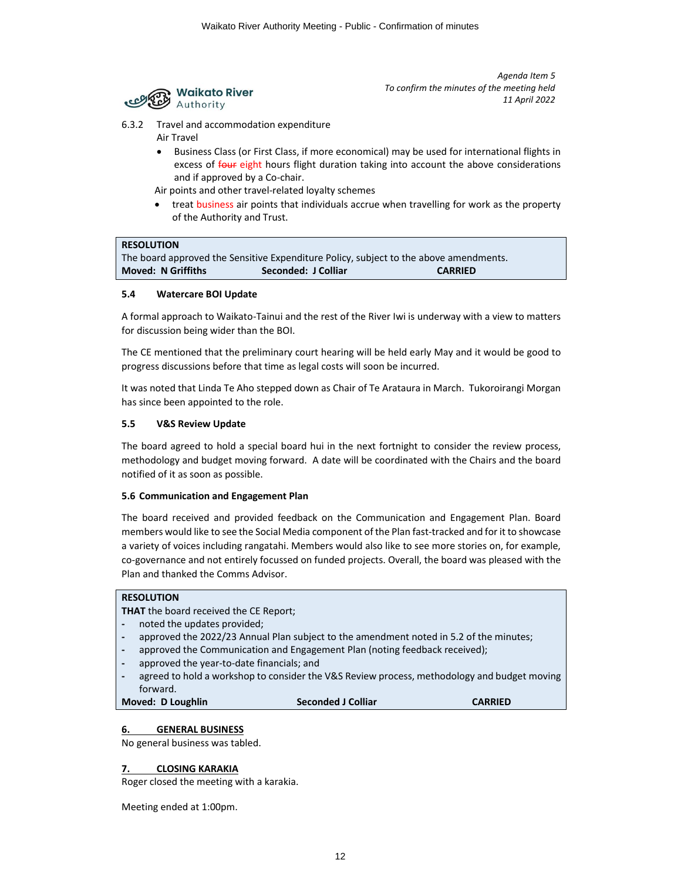

- 6.3.2 Travel and accommodation expenditure Air Travel
	- Business Class (or First Class, if more economical) may be used for international flights in excess of four eight hours flight duration taking into account the above considerations and if approved by a Co-chair.

Air points and other travel-related loyalty schemes

• treat business air points that individuals accrue when travelling for work as the property of the Authority and Trust.

# **RESOLUTION**

The board approved the Sensitive Expenditure Policy, subject to the above amendments. **Moved: N Griffiths Seconded: J Colliar CARRIED** 

# **5.4 Watercare BOI Update**

A formal approach to Waikato-Tainui and the rest of the River Iwi is underway with a view to matters for discussion being wider than the BOI.

The CE mentioned that the preliminary court hearing will be held early May and it would be good to progress discussions before that time as legal costs will soon be incurred.

It was noted that Linda Te Aho stepped down as Chair of Te Arataura in March. Tukoroirangi Morgan has since been appointed to the role.

# **5.5 V&S Review Update**

The board agreed to hold a special board hui in the next fortnight to consider the review process, methodology and budget moving forward. A date will be coordinated with the Chairs and the board notified of it as soon as possible.

#### **5.6 Communication and Engagement Plan**

The board received and provided feedback on the Communication and Engagement Plan. Board members would like to see the Social Media component of the Plan fast-tracked and for it to showcase a variety of voices including rangatahi. Members would also like to see more stories on, for example, co-governance and not entirely focussed on funded projects. Overall, the board was pleased with the Plan and thanked the Comms Advisor.

| <b>RESOLUTION</b>                                                                           |  |  |  |  |
|---------------------------------------------------------------------------------------------|--|--|--|--|
| <b>THAT</b> the board received the CE Report;                                               |  |  |  |  |
| noted the updates provided;                                                                 |  |  |  |  |
| approved the 2022/23 Annual Plan subject to the amendment noted in 5.2 of the minutes;      |  |  |  |  |
| approved the Communication and Engagement Plan (noting feedback received);                  |  |  |  |  |
| approved the year-to-date financials; and                                                   |  |  |  |  |
| agreed to hold a workshop to consider the V&S Review process, methodology and budget moving |  |  |  |  |
| forward.                                                                                    |  |  |  |  |
| Moved: D Loughlin<br><b>Seconded J Colliar</b><br>CARRIED                                   |  |  |  |  |
|                                                                                             |  |  |  |  |

# **6. GENERAL BUSINESS**

No general business was tabled.

# **7. CLOSING KARAKIA**

Roger closed the meeting with a karakia.

Meeting ended at 1:00pm.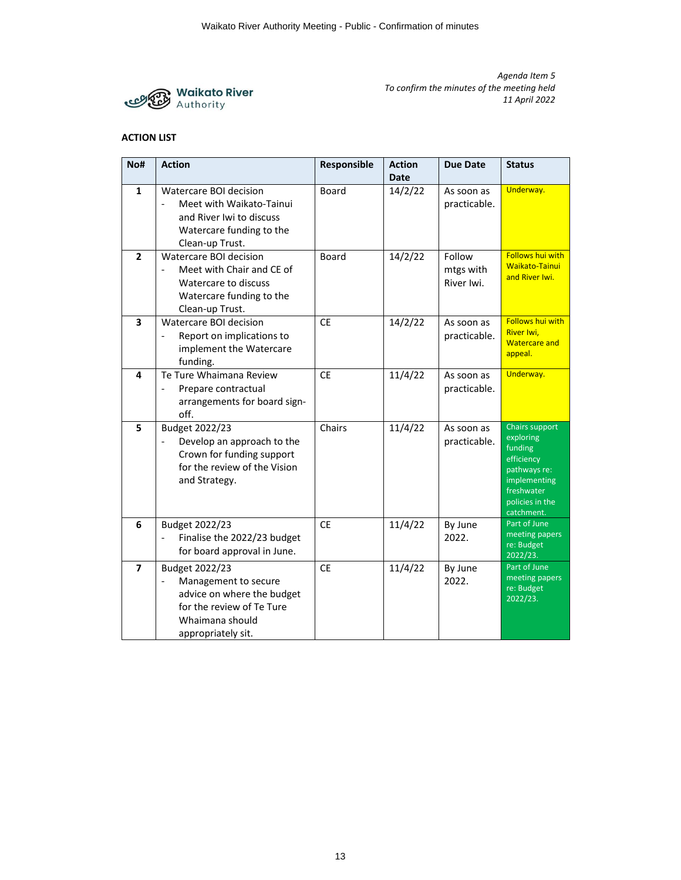

# **ACTION LIST**

| No#                     | <b>Action</b>                                                                                                                              | Responsible  | <b>Action</b><br><b>Date</b> | <b>Due Date</b>                   | <b>Status</b>                                                                                                                       |
|-------------------------|--------------------------------------------------------------------------------------------------------------------------------------------|--------------|------------------------------|-----------------------------------|-------------------------------------------------------------------------------------------------------------------------------------|
| $\mathbf{1}$            | Watercare BOI decision<br>Meet with Waikato-Tainui<br>and River Iwi to discuss<br>Watercare funding to the<br>Clean-up Trust.              | Board        | 14/2/22                      | As soon as<br>practicable.        | Underway.                                                                                                                           |
| $\overline{2}$          | Watercare BOI decision<br>Meet with Chair and CE of<br>Watercare to discuss<br>Watercare funding to the<br>Clean-up Trust.                 | <b>Board</b> | 14/2/22                      | Follow<br>mtgs with<br>River Iwi. | <b>Follows hui with</b><br><b>Waikato-Tainui</b><br>and River Iwi.                                                                  |
| $\overline{\mathbf{3}}$ | Watercare BOI decision<br>Report on implications to<br>implement the Watercare<br>funding.                                                 | <b>CE</b>    | 14/2/22                      | As soon as<br>practicable.        | <b>Follows hui with</b><br>River Iwi,<br><b>Watercare and</b><br>appeal.                                                            |
| 4                       | Te Ture Whaimana Review<br>Prepare contractual<br>arrangements for board sign-<br>off.                                                     | <b>CE</b>    | 11/4/22                      | As soon as<br>practicable.        | Underway.                                                                                                                           |
| 5                       | Budget 2022/23<br>Develop an approach to the<br>Crown for funding support<br>for the review of the Vision<br>and Strategy.                 | Chairs       | 11/4/22                      | As soon as<br>practicable.        | Chairs support<br>exploring<br>funding<br>efficiency<br>pathways re:<br>implementing<br>freshwater<br>policies in the<br>catchment. |
| 6                       | Budget 2022/23<br>Finalise the 2022/23 budget<br>for board approval in June.                                                               | <b>CE</b>    | 11/4/22                      | By June<br>2022.                  | Part of June<br>meeting papers<br>re: Budget<br>2022/23.                                                                            |
| $\overline{7}$          | Budget 2022/23<br>Management to secure<br>advice on where the budget<br>for the review of Te Ture<br>Whaimana should<br>appropriately sit. | <b>CE</b>    | 11/4/22                      | By June<br>2022.                  | Part of June<br>meeting papers<br>re: Budget<br>2022/23.                                                                            |